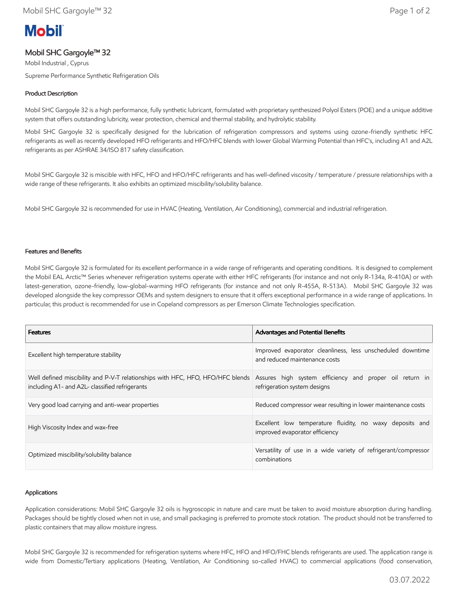# **Mobil**

# Mobil SHC Gargoyle™ 32

Mobil Industrial , Cyprus Supreme Performance Synthetic Refrigeration Oils

## Product Description

Mobil SHC Gargoyle 32 is a high performance, fully synthetic lubricant, formulated with proprietary synthesized Polyol Esters (POE) and a unique additive system that offers outstanding lubricity, wear protection, chemical and thermal stability, and hydrolytic stability.

Mobil SHC Gargoyle 32 is specifically designed for the lubrication of refrigeration compressors and systems using ozone-friendly synthetic HFC refrigerants as well as recently developed HFO refrigerants and HFO/HFC blends with lower Global Warming Potential than HFC's, including A1 and A2L refrigerants as per ASHRAE 34/ISO 817 safety classification.

Mobil SHC Gargoyle 32 is miscible with HFC, HFO and HFO/HFC refrigerants and has well-defined viscosity / temperature / pressure relationships with a wide range of these refrigerants. It also exhibits an optimized miscibility/solubility balance.

Mobil SHC Gargoyle 32 is recommended for use in HVAC (Heating, Ventilation, Air Conditioning), commercial and industrial refrigeration.

#### Features and Benefits

Mobil SHC Gargoyle 32 is formulated for its excellent performance in a wide range of refrigerants and operating conditions. It is designed to complement the Mobil EAL Arctic™ Series whenever refrigeration systems operate with either HFC refrigerants (for instance and not only R-134a, R-410A) or with latest-generation, ozone-friendly, low-global-warming HFO refrigerants (for instance and not only R-455A, R-513A). Mobil SHC Gargoyle 32 was developed alongside the key compressor OEMs and system designers to ensure that it offers exceptional performance in a wide range of applications. In particular, this product is recommended for use in Copeland compressors as per Emerson Climate Technologies specification.

| <b>Features</b>                                                                                                                                                                          | <b>Advantages and Potential Benefits</b>                                                    |
|------------------------------------------------------------------------------------------------------------------------------------------------------------------------------------------|---------------------------------------------------------------------------------------------|
| Excellent high temperature stability                                                                                                                                                     | Improved evaporator cleanliness, less unscheduled downtime<br>and reduced maintenance costs |
| Well defined miscibility and P-V-T relationships with HFC, HFO, HFO/HFC blends Assures high system efficiency and proper oil return in<br>including A1- and A2L- classified refrigerants | refrigeration system designs                                                                |
| Very good load carrying and anti-wear properties                                                                                                                                         | Reduced compressor wear resulting in lower maintenance costs                                |
| High Viscosity Index and wax-free                                                                                                                                                        | Excellent low temperature fluidity, no waxy deposits and<br>improved evaporator efficiency  |
| Optimized miscibility/solubility balance                                                                                                                                                 | Versatility of use in a wide variety of refrigerant/compressor<br>combinations              |

#### Applications

Application considerations: Mobil SHC Gargoyle 32 oils is hygroscopic in nature and care must be taken to avoid moisture absorption during handling. Packages should be tightly closed when not in use, and small packaging is preferred to promote stock rotation. The product should not be transferred to plastic containers that may allow moisture ingress.

Mobil SHC Gargoyle 32 is recommended for refrigeration systems where HFC, HFO and HFO/FHC blends refrigerants are used. The application range is wide from Domestic/Tertiary applications (Heating, Ventilation, Air Conditioning so-called HVAC) to commercial applications (food conservation,